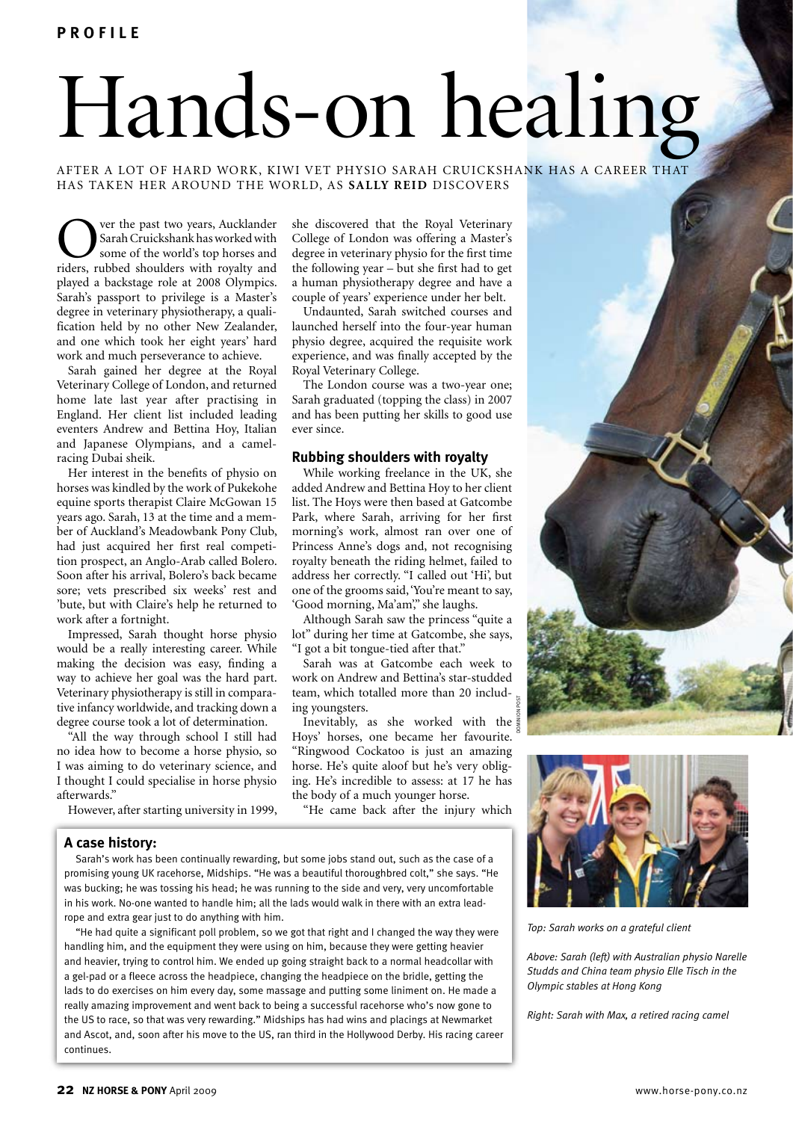**p r o f i l e**

# Hands-on healing

after a lot of hard work, kiwi vet physio sarah cruickshank has a career that has taken her around the world, as **S a l ly R e i d** discovers

ver the past two years, Aucklander Sarah Cruickshank has worked with some of the world's top horses and riders, rubbed shoulders with royalty and played a backstage role at 2008 Olympics. Sarah's passport to privilege is a Master's degree in veterinary physiotherapy, a qualification held by no other New Zealander, and one which took her eight years' hard work and much perseverance to achieve.

Sarah gained her degree at the Royal Veterinary College of London, and returned home late last year after practising in England. Her client list included leading eventers Andrew and Bettina Hoy, Italian and Japanese Olympians, and a camelracing Dubai sheik.

Her interest in the benefits of physio on horses was kindled by the work of Pukekohe equine sports therapist Claire McGowan 15 years ago. Sarah, 13 at the time and a member of Auckland's Meadowbank Pony Club, had just acquired her first real competition prospect, an Anglo-Arab called Bolero. Soon after his arrival, Bolero's back became sore; vets prescribed six weeks' rest and 'bute, but with Claire's help he returned to work after a fortnight.

Impressed, Sarah thought horse physio would be a really interesting career. While making the decision was easy, finding a way to achieve her goal was the hard part. Veterinary physiotherapy is still in comparative infancy worldwide, and tracking down a degree course took a lot of determination.

"All the way through school I still had no idea how to become a horse physio, so I was aiming to do veterinary science, and I thought I could specialise in horse physio afterwards."

However, after starting university in 1999,

she discovered that the Royal Veterinary College of London was offering a Master's degree in veterinary physio for the first time the following year – but she first had to get a human physiotherapy degree and have a couple of years' experience under her belt.

Undaunted, Sarah switched courses and launched herself into the four-year human physio degree, acquired the requisite work experience, and was finally accepted by the Royal Veterinary College.

The London course was a two-year one; Sarah graduated (topping the class) in 2007 and has been putting her skills to good use ever since.

## **Rubbing shoulders with royalty**

While working freelance in the UK, she added Andrew and Bettina Hoy to her client list. The Hoys were then based at Gatcombe Park, where Sarah, arriving for her first morning's work, almost ran over one of Princess Anne's dogs and, not recognising royalty beneath the riding helmet, failed to address her correctly. "I called out 'Hi', but one of the grooms said, 'You're meant to say, 'Good morning, Ma'am'," she laughs.

Although Sarah saw the princess "quite a lot" during her time at Gatcombe, she says, "I got a bit tongue-tied after that."

Sarah was at Gatcombe each week to work on Andrew and Bettina's star-studded team, which totalled more than 20 including youngsters.

Inevitably, as she worked with the Hoys' horses, one became her favourite. "Ringwood Cockatoo is just an amazing horse. He's quite aloof but he's very obliging. He's incredible to assess: at 17 he has the body of a much younger horse. dominion post

"He came back after the injury which

## **A case history:**

Sarah's work has been continually rewarding, but some jobs stand out, such as the case of a promising young UK racehorse, Midships. "He was a beautiful thoroughbred colt," she says. "He was bucking; he was tossing his head; he was running to the side and very, very uncomfortable in his work. No-one wanted to handle him; all the lads would walk in there with an extra leadrope and extra gear just to do anything with him.

"He had quite a significant poll problem, so we got that right and I changed the way they were handling him, and the equipment they were using on him, because they were getting heavier and heavier, trying to control him. We ended up going straight back to a normal headcollar with a gel-pad or a fleece across the headpiece, changing the headpiece on the bridle, getting the lads to do exercises on him every day, some massage and putting some liniment on. He made a really amazing improvement and went back to being a successful racehorse who's now gone to the US to race, so that was very rewarding." Midships has had wins and placings at Newmarket and Ascot, and, soon after his move to the US, ran third in the Hollywood Derby. His racing career continues.



*Above: Sarah (left) with Australian physio Narelle Studds and China team physio Elle Tisch in the Olympic stables at Hong Kong*

*Right: Sarah with Max, a retired racing camel*

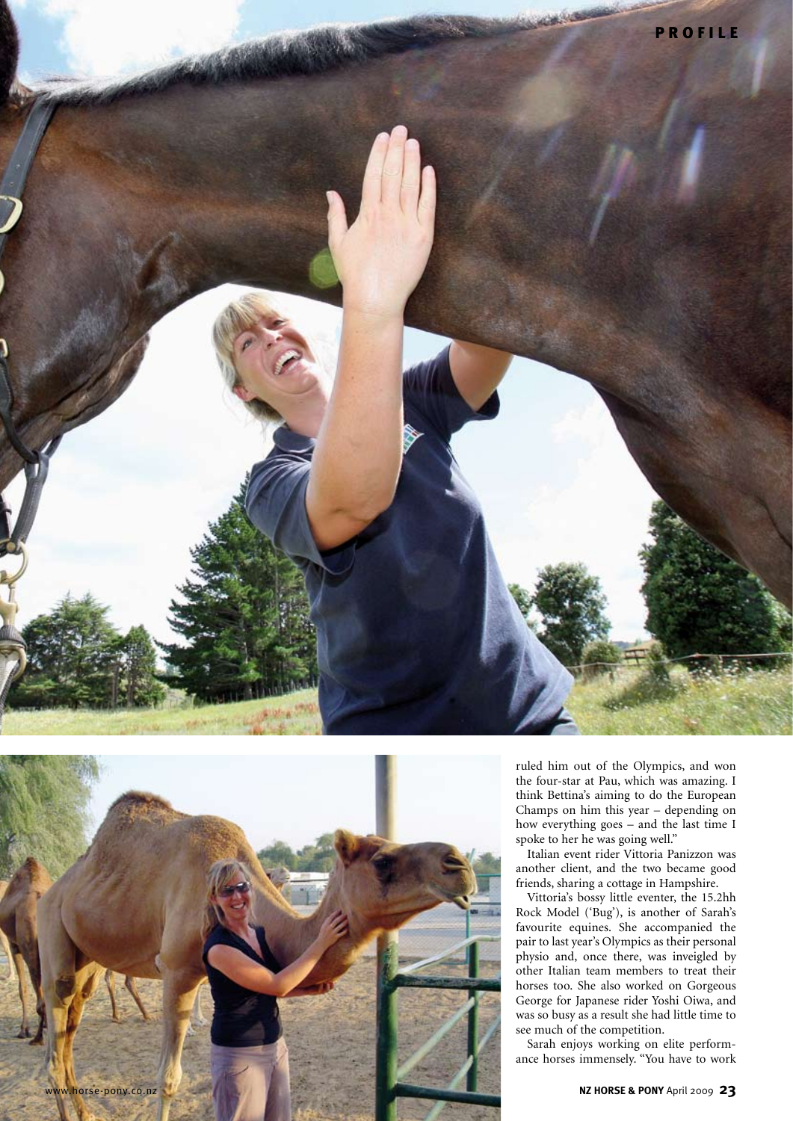



ruled him out of the Olympics, and won the four-star at Pau, which was amazing. I think Bettina's aiming to do the European Champs on him this year – depending on how everything goes – and the last time I spoke to her he was going well."

Italian event rider Vittoria Panizzon was another client, and the two became good friends, sharing a cottage in Hampshire.

Vittoria's bossy little eventer, the 15.2hh Rock Model ('Bug'), is another of Sarah's favourite equines. She accompanied the pair to last year's Olympics as their personal physio and, once there, was inveigled by other Italian team members to treat their horses too. She also worked on Gorgeous George for Japanese rider Yoshi Oiwa, and was so busy as a result she had little time to see much of the competition.

Sarah enjoys working on elite performance horses immensely. "You have to work